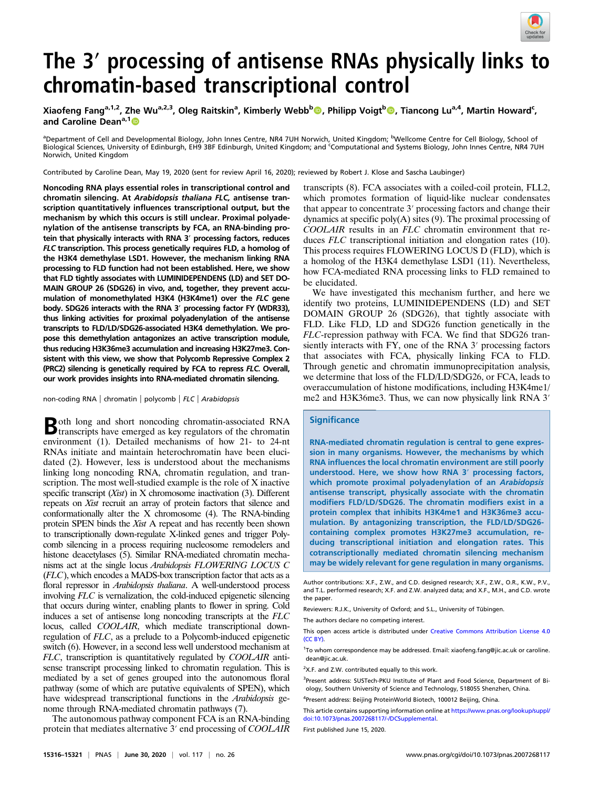

# The 3′ processing of antisense RNAs physically links to chromatin-based transcriptional control

Xiaofeng Fang<sup>a,1,2</sup>, Zhe Wu<sup>a,2,3</sup>, Oleg Raitskin<sup>a</sup>, Kimberly Webb<sup>b</sup>©, Philipp Voigt<sup>b</sup>©, Tiancong Lu<sup>a,4</sup>, Martin Howard<sup>c</sup>, and Caroline Dean<sup>a,1</sup><sup>0</sup>

<sup>a</sup>Department of Cell and Developmental Biology, John Innes Centre, NR4 7UH Norwich, United Kingdom; <sup>b</sup>Wellcome Centre for Cell Biology, School of Biological Sciences, University of Edinburgh, EH9 3BF Edinburgh, United Kingdom; and <sup>c</sup>Computational and Systems Biology, John Innes Centre, NR4 7UH Norwich, United Kingdom

Contributed by Caroline Dean, May 19, 2020 (sent for review April 16, 2020); reviewed by Robert J. Klose and Sascha Laubinger)

Noncoding RNA plays essential roles in transcriptional control and chromatin silencing. At Arabidopsis thaliana FLC, antisense transcription quantitatively influences transcriptional output, but the mechanism by which this occurs is still unclear. Proximal polyadenylation of the antisense transcripts by FCA, an RNA-binding protein that physically interacts with RNA 3′ processing factors, reduces FLC transcription. This process genetically requires FLD, a homolog of the H3K4 demethylase LSD1. However, the mechanism linking RNA processing to FLD function had not been established. Here, we show that FLD tightly associates with LUMINIDEPENDENS (LD) and SET DO-MAIN GROUP 26 (SDG26) in vivo, and, together, they prevent accumulation of monomethylated H3K4 (H3K4me1) over the FLC gene body. SDG26 interacts with the RNA 3′ processing factor FY (WDR33), thus linking activities for proximal polyadenylation of the antisense transcripts to FLD/LD/SDG26-associated H3K4 demethylation. We propose this demethylation antagonizes an active transcription module, thus reducing H3K36me3 accumulation and increasing H3K27me3. Consistent with this view, we show that Polycomb Repressive Complex 2 (PRC2) silencing is genetically required by FCA to repress FLC. Overall, our work provides insights into RNA-mediated chromatin silencing.

non-coding RNA | chromatin | polycomb | FLC | Arabidopsis

Both long and short noncoding chromatin-associated RNA transcripts have emerged as key regulators of the chromatin environment (1). Detailed mechanisms of how 21- to 24-nt RNAs initiate and maintain heterochromatin have been elucidated (2). However, less is understood about the mechanisms linking long noncoding RNA, chromatin regulation, and transcription. The most well-studied example is the role of X inactive specific transcript  $(Xist)$  in X chromosome inactivation  $(3)$ . Different repeats on Xist recruit an array of protein factors that silence and conformationally alter the X chromosome (4). The RNA-binding protein SPEN binds the Xist A repeat and has recently been shown to transcriptionally down-regulate X-linked genes and trigger Polycomb silencing in a process requiring nucleosome remodelers and histone deacetylases (5). Similar RNA-mediated chromatin mechanisms act at the single locus Arabidopsis FLOWERING LOCUS C (FLC), which encodes a MADS-box transcription factor that acts as a floral repressor in Arabidopsis thaliana. A well-understood process involving FLC is vernalization, the cold-induced epigenetic silencing that occurs during winter, enabling plants to flower in spring. Cold induces a set of antisense long noncoding transcripts at the FLC locus, called COOLAIR, which mediate transcriptional downregulation of FLC, as a prelude to a Polycomb-induced epigenetic switch (6). However, in a second less well understood mechanism at FLC, transcription is quantitatively regulated by COOLAIR antisense transcript processing linked to chromatin regulation. This is mediated by a set of genes grouped into the autonomous floral pathway (some of which are putative equivalents of SPEN), which have widespread transcriptional functions in the *Arabidopsis* genome through RNA-mediated chromatin pathways (7).

The autonomous pathway component FCA is an RNA-binding protein that mediates alternative 3′ end processing of COOLAIR

transcripts (8). FCA associates with a coiled-coil protein, FLL2, which promotes formation of liquid-like nuclear condensates that appear to concentrate 3′ processing factors and change their dynamics at specific poly $(A)$  sites  $(9)$ . The proximal processing of COOLAIR results in an FLC chromatin environment that reduces FLC transcriptional initiation and elongation rates (10). This process requires FLOWERING LOCUS D (FLD), which is a homolog of the H3K4 demethylase LSD1 (11). Nevertheless, how FCA-mediated RNA processing links to FLD remained to be elucidated.

We have investigated this mechanism further, and here we identify two proteins, LUMINIDEPENDENS (LD) and SET DOMAIN GROUP 26 (SDG26), that tightly associate with FLD. Like FLD, LD and SDG26 function genetically in the FLC-repression pathway with FCA. We find that SDG26 transiently interacts with FY, one of the RNA 3′ processing factors that associates with FCA, physically linking FCA to FLD. Through genetic and chromatin immunoprecipitation analysis, we determine that loss of the FLD/LD/SDG26, or FCA, leads to overaccumulation of histone modifications, including H3K4me1/ me2 and H3K36me3. Thus, we can now physically link RNA 3′

### **Significance**

RNA-mediated chromatin regulation is central to gene expression in many organisms. However, the mechanisms by which RNA influences the local chromatin environment are still poorly understood. Here, we show how RNA 3′ processing factors, which promote proximal polyadenylation of an Arabidopsis antisense transcript, physically associate with the chromatin modifiers FLD/LD/SDG26. The chromatin modifiers exist in a protein complex that inhibits H3K4me1 and H3K36me3 accumulation. By antagonizing transcription, the FLD/LD/SDG26 containing complex promotes H3K27me3 accumulation, reducing transcriptional initiation and elongation rates. This cotranscriptionally mediated chromatin silencing mechanism may be widely relevant for gene regulation in many organisms.

<sup>1</sup>To whom correspondence may be addressed. Email: [xiaofeng.fang@jic.ac.uk](mailto:xiaofeng.fang@jic.ac.uk) or [caroline.](mailto:caroline.dean@jic.ac.uk) [dean@jic.ac.uk](mailto:caroline.dean@jic.ac.uk).

<sup>2</sup>X.F. and Z.W. contributed equally to this work.

<sup>3</sup>Present address: SUSTech-PKU Institute of Plant and Food Science, Department of Biology, Southern University of Science and Technology, 518055 Shenzhen, China.

4 Present address: Beijing ProteinWorld Biotech, 100012 Beijing, China.

This article contains supporting information online at [https://www.pnas.org/lookup/suppl/](https://www.pnas.org/lookup/suppl/doi:10.1073/pnas.2007268117/-/DCSupplemental) [doi:10.1073/pnas.2007268117/-/DCSupplemental](https://www.pnas.org/lookup/suppl/doi:10.1073/pnas.2007268117/-/DCSupplemental).

First published June 15, 2020.

Author contributions: X.F., Z.W., and C.D. designed research; X.F., Z.W., O.R., K.W., P.V., and T.L. performed research; X.F. and Z.W. analyzed data; and X.F., M.H., and C.D. wrote the paper.

Reviewers: R.J.K., University of Oxford; and S.L., University of Tübingen.

The authors declare no competing interest.

This open access article is distributed under [Creative Commons Attribution License 4.0](http://creativecommons.org/licenses/by/4.0/) [\(CC BY\)](http://creativecommons.org/licenses/by/4.0/).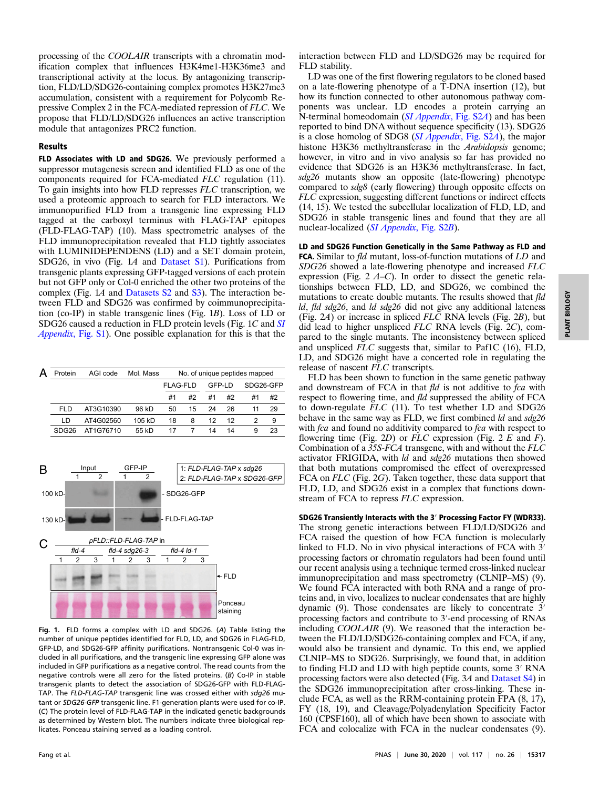processing of the COOLAIR transcripts with a chromatin modification complex that influences H3K4me1-H3K36me3 and transcriptional activity at the locus. By antagonizing transcription, FLD/LD/SDG26-containing complex promotes H3K27me3 accumulation, consistent with a requirement for Polycomb Repressive Complex 2 in the FCA-mediated repression of FLC. We propose that FLD/LD/SDG26 influences an active transcription module that antagonizes PRC2 function.

## Results

FLD Associates with LD and SDG26. We previously performed a suppressor mutagenesis screen and identified FLD as one of the components required for FCA-mediated FLC regulation (11). To gain insights into how FLD represses FLC transcription, we used a proteomic approach to search for FLD interactors. We immunopurified FLD from a transgenic line expressing FLD tagged at the carboxyl terminus with FLAG-TAP epitopes (FLD-FLAG-TAP) (10). Mass spectrometric analyses of the FLD immunoprecipitation revealed that FLD tightly associates with LUMINIDEPENDENS (LD) and a SET domain protein, SDG26, in vivo (Fig. 1A and [Dataset S1\)](https://www.pnas.org/lookup/suppl/doi:10.1073/pnas.2007268117/-/DCSupplemental). Purifications from transgenic plants expressing GFP-tagged versions of each protein but not GFP only or Col-0 enriched the other two proteins of the complex (Fig. 1A and [Datasets S2](https://www.pnas.org/lookup/suppl/doi:10.1073/pnas.2007268117/-/DCSupplemental) and [S3](https://www.pnas.org/lookup/suppl/doi:10.1073/pnas.2007268117/-/DCSupplemental)). The interaction between FLD and SDG26 was confirmed by coimmunoprecipitation (co-IP) in stable transgenic lines (Fig. 1B). Loss of LD or SDG26 caused a reduction in FLD protein levels (Fig. 1C and [SI](https://www.pnas.org/lookup/suppl/doi:10.1073/pnas.2007268117/-/DCSupplemental) [Appendix](https://www.pnas.org/lookup/suppl/doi:10.1073/pnas.2007268117/-/DCSupplemental), Fig. S1). One possible explanation for this is that the

| Protein           | AGI code  | Mol. Mass | No. of unique peptides mapped |    |        |    |           |    |
|-------------------|-----------|-----------|-------------------------------|----|--------|----|-----------|----|
|                   |           |           | <b>FLAG-FLD</b>               |    | GFP-LD |    | SDG26-GFP |    |
|                   |           |           | #1                            | #2 | #1     | #2 | #1        | #2 |
| FLD               | AT3G10390 | 96 kD     | 50                            | 15 | 24     | 26 | 11        | 29 |
| LD                | AT4G02560 | 105 kD    | 18                            | 8  | 12     | 12 |           | 9  |
| SDG <sub>26</sub> | AT1G76710 | 55 kD     | 17                            |    | 14     | 14 | 9         | 23 |



Fig. 1. FLD forms a complex with LD and SDG26. (A) Table listing the number of unique peptides identified for FLD, LD, and SDG26 in FLAG-FLD, GFP-LD, and SDG26-GFP affinity purifications. Nontransgenic Col-0 was included in all purifications, and the transgenic line expressing GFP alone was included in GFP purifications as a negative control. The read counts from the negative controls were all zero for the listed proteins. (B) Co-IP in stable transgenic plants to detect the association of SDG26-GFP with FLD-FLAG-TAP. The FLD-FLAG-TAP transgenic line was crossed either with sdg26 mutant or SDG26-GFP transgenic line. F1-generation plants were used for co-IP. (C) The protein level of FLD-FLAG-TAP in the indicated genetic backgrounds as determined by Western blot. The numbers indicate three biological replicates. Ponceau staining served as a loading control.

interaction between FLD and LD/SDG26 may be required for FLD stability.

LD was one of the first flowering regulators to be cloned based on a late-flowering phenotype of a T-DNA insertion (12), but how its function connected to other autonomous pathway components was unclear. LD encodes a protein carrying an N-terminal homeodomain ([SI Appendix](https://www.pnas.org/lookup/suppl/doi:10.1073/pnas.2007268117/-/DCSupplemental), Fig. S2A) and has been reported to bind DNA without sequence specificity (13). SDG26 is a close homolog of SDG8 ( $SI$  Appendix, Fig. S2A), the major histone H3K36 methyltransferase in the Arabidopsis genome; however, in vitro and in vivo analysis so far has provided no evidence that SDG26 is an H3K36 methyltransferase. In fact, sdg26 mutants show an opposite (late-flowering) phenotype compared to sdg8 (early flowering) through opposite effects on FLC expression, suggesting different functions or indirect effects (14, 15). We tested the subcellular localization of FLD, LD, and SDG26 in stable transgenic lines and found that they are all nuclear-localized ([SI Appendix](https://www.pnas.org/lookup/suppl/doi:10.1073/pnas.2007268117/-/DCSupplemental), Fig. S2B).

LD and SDG26 Function Genetically in the Same Pathway as FLD and FCA. Similar to fld mutant, loss-of-function mutations of LD and SDG26 showed a late-flowering phenotype and increased FLC expression (Fig.  $2 \text{ } A-C$ ). In order to dissect the genetic relationships between FLD, LD, and SDG26, we combined the mutations to create double mutants. The results showed that fld ld, fld sdg26, and ld sdg26 did not give any additional lateness (Fig. 2A) or increase in spliced FLC RNA levels (Fig. 2B), but did lead to higher unspliced FLC RNA levels (Fig. 2C), compared to the single mutants. The inconsistency between spliced and unspliced FLC suggests that, similar to Paf1C (16), FLD, LD, and SDG26 might have a concerted role in regulating the release of nascent FLC transcripts.

FLD has been shown to function in the same genetic pathway and downstream of FCA in that  $f \mid d$  is not additive to  $fca$  with respect to flowering time, and fld suppressed the ability of FCA to down-regulate FLC (11). To test whether LD and SDG26 behave in the same way as FLD, we first combined *ld* and  $sdg26$ with *fca* and found no additivity compared to *fca* with respect to flowering time (Fig. 2D) or  $FLC$  expression (Fig. 2 E and F). Combination of a 35S-FCA transgene, with and without the FLC activator FRIGIDA, with ld and sdg26 mutations then showed that both mutations compromised the effect of overexpressed FCA on FLC (Fig. 2G). Taken together, these data support that FLD, LD, and SDG26 exist in a complex that functions downstream of FCA to repress FLC expression.

SDG26 Transiently Interacts with the 3′ Processing Factor FY (WDR33). The strong genetic interactions between FLD/LD/SDG26 and FCA raised the question of how FCA function is molecularly linked to FLD. No in vivo physical interactions of FCA with 3′ processing factors or chromatin regulators had been found until our recent analysis using a technique termed cross-linked nuclear immunoprecipitation and mass spectrometry (CLNIP–MS) (9). We found FCA interacted with both RNA and a range of proteins and, in vivo, localizes to nuclear condensates that are highly dynamic (9). Those condensates are likely to concentrate 3′ processing factors and contribute to 3′-end processing of RNAs including COOLAIR (9). We reasoned that the interaction between the FLD/LD/SDG26-containing complex and FCA, if any, would also be transient and dynamic. To this end, we applied CLNIP–MS to SDG26. Surprisingly, we found that, in addition to finding FLD and LD with high peptide counts, some 3′ RNA processing factors were also detected (Fig. 3A and [Dataset S4](https://www.pnas.org/lookup/suppl/doi:10.1073/pnas.2007268117/-/DCSupplemental)) in the SDG26 immunoprecipitation after cross-linking. These include FCA, as well as the RRM-containing protein FPA (8, 17), FY (18, 19), and Cleavage/Polyadenylation Specificity Factor 160 (CPSF160), all of which have been shown to associate with FCA and colocalize with FCA in the nuclear condensates (9).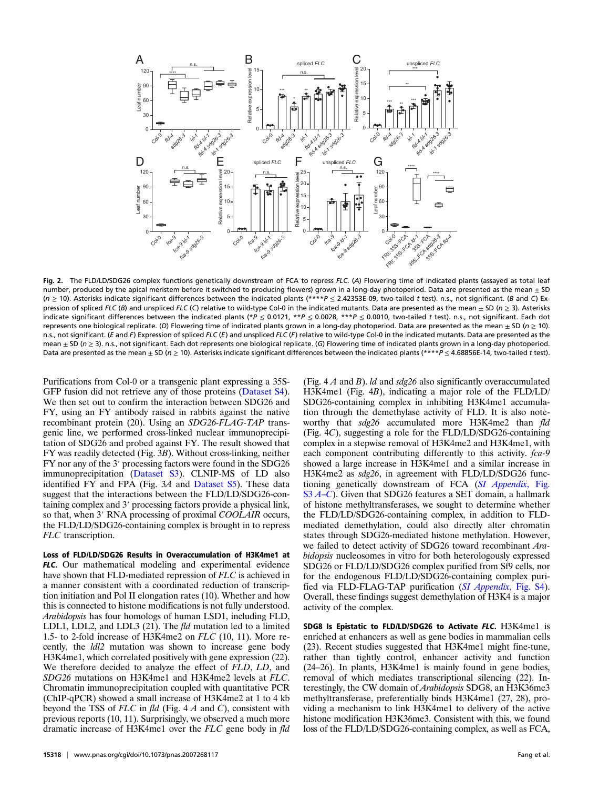

Fig. 2. The FLD/LD/SDG26 complex functions genetically downstream of FCA to repress FLC. (A) Flowering time of indicated plants (assayed as total leaf number, produced by the apical meristem before it switched to producing flowers) grown in a long-day photoperiod. Data are presented as the mean  $\pm$  SD (n ≥ 10). Asterisks indicate significant differences between the indicated plants (\*\*\*\*P ≤ 2.42353E-09, two-tailed t test). n.s., not significant. (B and C) Expression of spliced FLC (B) and unspliced FLC (C) relative to wild-type Col-0 in the indicated mutants. Data are presented as the mean  $\pm$  SD (n  $\geq$  3). Asterisks indicate significant differences between the indicated plants (\*P  $\leq$  0.0121, \*\*P  $\leq$  0.0028, \*\*\*P  $\leq$  0.0010, two-tailed t test). n.s., not significant. Each dot represents one biological replicate. (D) Flowering time of indicated plants grown in a long-day photoperiod. Data are presented as the mean  $\pm$  SD ( $n \ge 10$ ). n.s., not significant. (E and F) Expression of spliced FLC (E) and unspliced FLC (F) relative to wild-type Col-0 in the indicated mutants. Data are presented as the mean ± SD (n ≥ 3). n.s., not significant. Each dot represents one biological replicate. (G) Flowering time of indicated plants grown in a long-day photoperiod. Data are presented as the mean  $\pm$  SD (n  $\geq$  10). Asterisks indicate significant differences between the indicated plants (\*\*\*\*P  $\leq$  4.68856E-14, two-tailed t test).

Purifications from Col-0 or a transgenic plant expressing a 35S-GFP fusion did not retrieve any of those proteins [\(Dataset S4](https://www.pnas.org/lookup/suppl/doi:10.1073/pnas.2007268117/-/DCSupplemental)). We then set out to confirm the interaction between SDG26 and FY, using an FY antibody raised in rabbits against the native recombinant protein (20). Using an SDG26-FLAG-TAP transgenic line, we performed cross-linked nuclear immunoprecipitation of SDG26 and probed against FY. The result showed that FY was readily detected (Fig. 3B). Without cross-linking, neither FY nor any of the 3′ processing factors were found in the SDG26 immunoprecipitation ([Dataset S3\)](https://www.pnas.org/lookup/suppl/doi:10.1073/pnas.2007268117/-/DCSupplemental). CLNIP-MS of LD also identified FY and FPA (Fig. 3A and [Dataset S5](https://www.pnas.org/lookup/suppl/doi:10.1073/pnas.2007268117/-/DCSupplemental)). These data suggest that the interactions between the FLD/LD/SDG26-containing complex and 3′ processing factors provide a physical link, so that, when 3' RNA processing of proximal COOLAIR occurs, the FLD/LD/SDG26-containing complex is brought in to repress FLC transcription.

Loss of FLD/LD/SDG26 Results in Overaccumulation of H3K4me1 at FLC. Our mathematical modeling and experimental evidence have shown that FLD-mediated repression of FLC is achieved in a manner consistent with a coordinated reduction of transcription initiation and Pol II elongation rates (10). Whether and how this is connected to histone modifications is not fully understood. Arabidopsis has four homologs of human LSD1, including FLD, LDL1, LDL2, and LDL3 (21). The fld mutation led to a limited 1.5- to 2-fold increase of H3K4me2 on FLC (10, 11). More recently, the ldl2 mutation was shown to increase gene body H3K4me1, which correlated positively with gene expression (22). We therefore decided to analyze the effect of FLD, LD, and SDG26 mutations on H3K4me1 and H3K4me2 levels at FLC. Chromatin immunoprecipitation coupled with quantitative PCR (ChIP-qPCR) showed a small increase of H3K4me2 at 1 to 4 kb beyond the TSS of  $FLC$  in fld (Fig. 4  $A$  and  $C$ ), consistent with previous reports (10, 11). Surprisingly, we observed a much more dramatic increase of H3K4me1 over the FLC gene body in fld SDG26-containing complex in inhibiting H3K4me1 accumulation through the demethylase activity of FLD. It is also noteworthy that sdg26 accumulated more H3K4me2 than fld (Fig. 4C), suggesting a role for the FLD/LD/SDG26-containing complex in a stepwise removal of H3K4me2 and H3K4me1, with each component contributing differently to this activity. fca-9 showed a large increase in H3K4me1 and a similar increase in H3K4me2 as sdg26, in agreement with FLD/LD/SDG26 func-tioning genetically downstream of FCA ([SI Appendix](https://www.pnas.org/lookup/suppl/doi:10.1073/pnas.2007268117/-/DCSupplemental)[, Fig.](https://www.pnas.org/lookup/suppl/doi:10.1073/pnas.2007268117/-/DCSupplemental) [S3](https://www.pnas.org/lookup/suppl/doi:10.1073/pnas.2007268117/-/DCSupplemental) [A](https://www.pnas.org/lookup/suppl/doi:10.1073/pnas.2007268117/-/DCSupplemental)–[C](https://www.pnas.org/lookup/suppl/doi:10.1073/pnas.2007268117/-/DCSupplemental)). Given that SDG26 features a SET domain, a hallmark of histone methyltransferases, we sought to determine whether the FLD/LD/SDG26-containing complex, in addition to FLDmediated demethylation, could also directly alter chromatin states through SDG26-mediated histone methylation. However, we failed to detect activity of SDG26 toward recombinant Arabidopsis nucleosomes in vitro for both heterologously expressed SDG26 or FLD/LD/SDG26 complex purified from Sf9 cells, nor for the endogenous FLD/LD/SDG26-containing complex purified via FLD-FLAG-TAP purification ([SI Appendix](https://www.pnas.org/lookup/suppl/doi:10.1073/pnas.2007268117/-/DCSupplemental), Fig. S4). Overall, these findings suggest demethylation of H3K4 is a major activity of the complex.

(Fig.  $4A$  and B). *ld* and  $sdg26$  also significantly overaccumulated H3K4me1 (Fig. 4B), indicating a major role of the FLD/LD/

SDG8 Is Epistatic to FLD/LD/SDG26 to Activate FLC. H3K4me1 is enriched at enhancers as well as gene bodies in mammalian cells (23). Recent studies suggested that H3K4me1 might fine-tune, rather than tightly control, enhancer activity and function (24–26). In plants, H3K4me1 is mainly found in gene bodies, removal of which mediates transcriptional silencing (22). Interestingly, the CW domain of Arabidopsis SDG8, an H3K36me3 methyltransferase, preferentially binds H3K4me1 (27, 28), providing a mechanism to link H3K4me1 to delivery of the active histone modification H3K36me3. Consistent with this, we found loss of the FLD/LD/SDG26-containing complex, as well as FCA,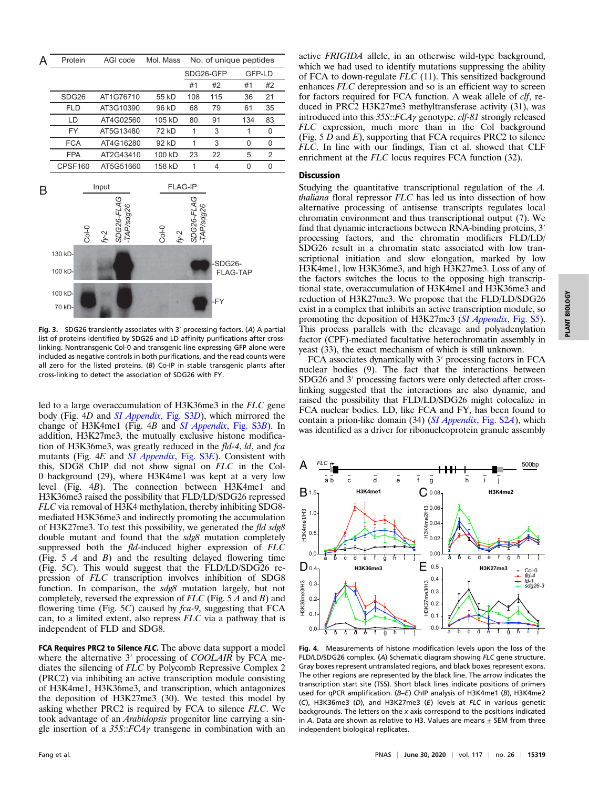

Fig. 3. SDG26 transiently associates with 3′ processing factors. (A) A partial list of proteins identified by SDG26 and LD affinity purifications after crosslinking. Nontransgenic Col-0 and transgenic line expressing GFP alone were included as negative controls in both purifications, and the read counts were all zero for the listed proteins.  $(B)$  Co-IP in stable transgenic plants after cross-linking to detect the association of SDG26 with FY.

led to a large overaccumulation of H3K36me3 in the FLC gene body (Fig. 4D and *[SI Appendix](https://www.pnas.org/lookup/suppl/doi:10.1073/pnas.2007268117/-/DCSupplemental)*, Fig. S3D), which mirrored the change of H3K4me1 (Fig. 4B and [SI Appendix](https://www.pnas.org/lookup/suppl/doi:10.1073/pnas.2007268117/-/DCSupplemental), Fig. S3B). In addition, H3K27me3, the mutually exclusive histone modification of H3K36me3, was greatly reduced in the fld-4, ld, and fca mutants (Fig. 4E and *[SI Appendix](https://www.pnas.org/lookup/suppl/doi:10.1073/pnas.2007268117/-/DCSupplemental)*, Fig. S3E). Consistent with this, SDG8 ChIP did not show signal on FLC in the Col-0 background (29), where H3K4me1 was kept at a very low level (Fig. 4B). The connection between H3K4me1 and H3K36me3 raised the possibility that FLD/LD/SDG26 repressed FLC via removal of H3K4 methylation, thereby inhibiting SDG8 mediated H3K36me3 and indirectly promoting the accumulation of H3K27me3. To test this possibility, we generated the fld sdg8 double mutant and found that the sdg8 mutation completely suppressed both the  $fld$ -induced higher expression of  $FL\dot{C}$ (Fig.  $5 \nA$  and  $B$ ) and the resulting delayed flowering time (Fig. 5C). This would suggest that the FLD/LD/SDG26 repression of FLC transcription involves inhibition of SDG8 function. In comparison, the sdg8 mutation largely, but not completely, reversed the expression of  $FLC$  (Fig. 5 A and B) and flowering time (Fig.  $5C$ ) caused by  $fca-9$ , suggesting that FCA can, to a limited extent, also repress FLC via a pathway that is independent of FLD and SDG8.

FCA Requires PRC2 to Silence FLC. The above data support a model where the alternative 3' processing of COOLAIR by FCA mediates the silencing of FLC by Polycomb Repressive Complex 2 (PRC2) via inhibiting an active transcription module consisting of H3K4me1, H3K36me3, and transcription, which antagonizes the deposition of H3K27me3 (30). We tested this model by asking whether PRC2 is required by FCA to silence FLC. We took advantage of an Arabidopsis progenitor line carrying a single insertion of a  $35S::FCA\gamma$  transgene in combination with an

active FRIGIDA allele, in an otherwise wild-type background, which we had used to identify mutations suppressing the ability of FCA to down-regulate FLC (11). This sensitized background enhances FLC derepression and so is an efficient way to screen for factors required for FCA function. A weak allele of clf, reduced in PRC2 H3K27me3 methyltransferase activity (31), was introduced into this 35S::FCAγ genotype. clf-81 strongly released FLC expression, much more than in the Col background (Fig.  $5 \overline{D}$  and  $\overline{E}$ ), supporting that FCA requires PRC2 to silence FLC. In line with our findings, Tian et al. showed that CLF enrichment at the FLC locus requires FCA function (32).

## Discussion

Studying the quantitative transcriptional regulation of the A. thaliana floral repressor FLC has led us into dissection of how alternative processing of antisense transcripts regulates local chromatin environment and thus transcriptional output (7). We find that dynamic interactions between RNA-binding proteins, 3<sup>'</sup> processing factors, and the chromatin modifiers FLD/LD/ SDG26 result in a chromatin state associated with low transcriptional initiation and slow elongation, marked by low H3K4me1, low H3K36me3, and high H3K27me3. Loss of any of the factors switches the locus to the opposing high transcriptional state, overaccumulation of H3K4me1 and H3K36me3 and reduction of H3K27me3. We propose that the FLD/LD/SDG26 exist in a complex that inhibits an active transcription module, so promoting the deposition of H3K27me3 ([SI Appendix](https://www.pnas.org/lookup/suppl/doi:10.1073/pnas.2007268117/-/DCSupplemental), Fig. S5). This process parallels with the cleavage and polyadenylation factor (CPF)-mediated facultative heterochromatin assembly in yeast (33), the exact mechanism of which is still unknown.

FCA associates dynamically with 3′ processing factors in FCA nuclear bodies (9). The fact that the interactions between SDG26 and 3′ processing factors were only detected after crosslinking suggested that the interactions are also dynamic, and raised the possibility that FLD/LD/SDG26 might colocalize in FCA nuclear bodies. LD, like FCA and FY, has been found to contain a prion-like domain (34) ([SI Appendix](https://www.pnas.org/lookup/suppl/doi:10.1073/pnas.2007268117/-/DCSupplemental), Fig. S2A), which was identified as a driver for ribonucleoprotein granule assembly



Fig. 4. Measurements of histone modification levels upon the loss of the FLD/LD/SDG26 complex. (A) Schematic diagram showing FLC gene structure. Gray boxes represent untranslated regions, and black boxes represent exons. The other regions are represented by the black line. The arrow indicates the transcription start site (TSS). Short black lines indicate positions of primers used for qPCR amplification. (B–E) ChIP analysis of H3K4me1 (B), H3K4me2 (C), H3K36me3 (D), and H3K27me3 (E) levels at FLC in various genetic backgrounds. The letters on the  $x$  axis correspond to the positions indicated in A. Data are shown as relative to H3. Values are means  $\pm$  SEM from three independent biological replicates.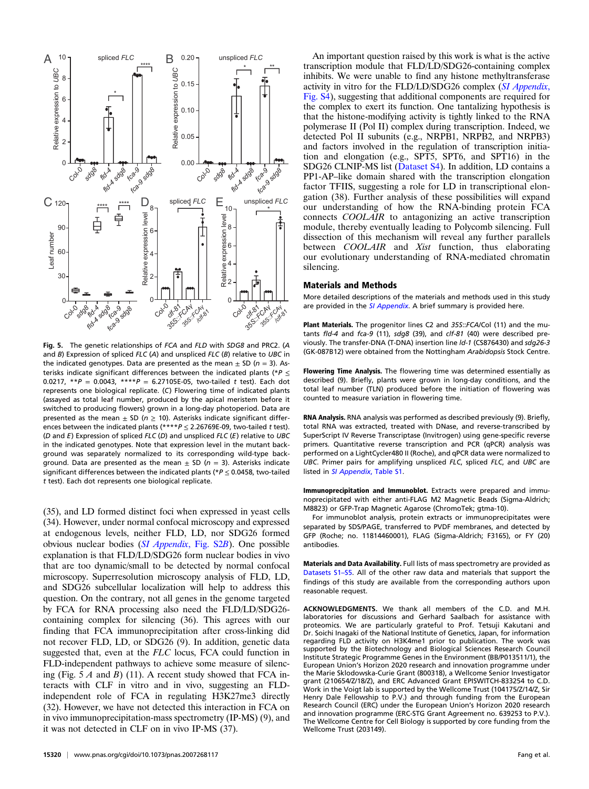

Fig. 5. The genetic relationships of FCA and FLD with SDG8 and PRC2. (A and  $B$ ) Expression of spliced  $FLC$  (A) and unspliced  $FLC$  (B) relative to UBC in the indicated genotypes. Data are presented as the mean  $\pm$  SD (n = 3). Asterisks indicate significant differences between the indicated plants (\*P  $\leq$ 0.0217, \*\* $P = 0.0043$ , \*\*\*\* $P = 6.27105E-05$ , two-tailed t test). Each dot represents one biological replicate. (C) Flowering time of indicated plants (assayed as total leaf number, produced by the apical meristem before it switched to producing flowers) grown in a long-day photoperiod. Data are presented as the mean  $\pm$  SD ( $n \ge 10$ ). Asterisks indicate significant differences between the indicated plants  $(****P < 2.26769E-09$ , two-tailed t test). ( $D$  and  $E$ ) Expression of spliced  $FLC$  ( $D$ ) and unspliced  $FLC$  ( $E$ ) relative to UBC in the indicated genotypes. Note that expression level in the mutant background was separately normalized to its corresponding wild-type background. Data are presented as the mean  $\pm$  SD (n = 3). Asterisks indicate significant differences between the indicated plants ( $P \le 0.0458$ , two-tailed t test). Each dot represents one biological replicate.

(35), and LD formed distinct foci when expressed in yeast cells (34). However, under normal confocal microscopy and expressed at endogenous levels, neither FLD, LD, nor SDG26 formed obvious nuclear bodies ([SI Appendix](https://www.pnas.org/lookup/suppl/doi:10.1073/pnas.2007268117/-/DCSupplemental), Fig. S2B). One possible explanation is that FLD/LD/SDG26 form nuclear bodies in vivo that are too dynamic/small to be detected by normal confocal microscopy. Superresolution microscopy analysis of FLD, LD, and SDG26 subcellular localization will help to address this question. On the contrary, not all genes in the genome targeted by FCA for RNA processing also need the FLD/LD/SDG26 containing complex for silencing (36). This agrees with our finding that FCA immunoprecipitation after cross-linking did not recover FLD, LD, or SDG26 (9). In addition, genetic data suggested that, even at the FLC locus, FCA could function in FLD-independent pathways to achieve some measure of silencing (Fig.  $5 \land$  and  $B$ ) (11). A recent study showed that FCA interacts with CLF in vitro and in vivo, suggesting an FLDindependent role of FCA in regulating H3K27me3 directly (32). However, we have not detected this interaction in FCA on in vivo immunoprecipitation-mass spectrometry (IP-MS) (9), and it was not detected in CLF on in vivo IP-MS (37).

An important question raised by this work is what is the active transcription module that FLD/LD/SDG26-containing complex inhibits. We were unable to find any histone methyltransferase activity in vitro for the FLD/LD/SDG26 complex ([SI Appendix](https://www.pnas.org/lookup/suppl/doi:10.1073/pnas.2007268117/-/DCSupplemental), [Fig. S4\)](https://www.pnas.org/lookup/suppl/doi:10.1073/pnas.2007268117/-/DCSupplemental), suggesting that additional components are required for the complex to exert its function. One tantalizing hypothesis is that the histone-modifying activity is tightly linked to the RNA polymerase II (Pol II) complex during transcription. Indeed, we detected Pol II subunits (e.g., NRPB1, NRPB2, and NRPB3) and factors involved in the regulation of transcription initiation and elongation (e.g., SPT5, SPT6, and SPT16) in the SDG26 CLNIP-MS list [\(Dataset S4\)](https://www.pnas.org/lookup/suppl/doi:10.1073/pnas.2007268117/-/DCSupplemental). In addition, LD contains a PP1-AP–like domain shared with the transcription elongation factor TFIIS, suggesting a role for LD in transcriptional elongation (38). Further analysis of these possibilities will expand our understanding of how the RNA-binding protein FCA connects COOLAIR to antagonizing an active transcription module, thereby eventually leading to Polycomb silencing. Full dissection of this mechanism will reveal any further parallels between COOLAIR and Xist function, thus elaborating our evolutionary understanding of RNA-mediated chromatin silencing.

#### Materials and Methods

More detailed descriptions of the materials and methods used in this study are provided in the *[SI Appendix](https://www.pnas.org/lookup/suppl/doi:10.1073/pnas.2007268117/-/DCSupplemental)*. A brief summary is provided here.

Plant Materials. The progenitor lines C2 and 355::FCA/Col (11) and the mutants fld-4 and fca-9 (11), sdg8 (39), and clf-81 (40) were described previously. The transfer-DNA (T-DNA) insertion line ld-1 (CS876430) and sdg26-3 (GK-087B12) were obtained from the Nottingham Arabidopsis Stock Centre.

Flowering Time Analysis. The flowering time was determined essentially as described (9). Briefly, plants were grown in long-day conditions, and the total leaf number (TLN) produced before the initiation of flowering was counted to measure variation in flowering time.

RNA Analysis. RNA analysis was performed as described previously (9). Briefly, total RNA was extracted, treated with DNase, and reverse-transcribed by SuperScript IV Reverse Transcriptase (Invitrogen) using gene-specific reverse primers. Quantitative reverse transcription and PCR (qPCR) analysis was performed on a LightCycler480 II (Roche), and qPCR data were normalized to UBC. Primer pairs for amplifying unspliced FLC, spliced FLC, and UBC are listed in [SI Appendix](https://www.pnas.org/lookup/suppl/doi:10.1073/pnas.2007268117/-/DCSupplemental), Table S1.

Immunoprecipitation and Immunoblot. Extracts were prepared and immunoprecipitated with either anti-FLAG M2 Magnetic Beads (Sigma-Aldrich; M8823) or GFP-Trap Magnetic Agarose (ChromoTek; gtma-10).

For immunoblot analysis, protein extracts or immunoprecipitates were separated by SDS/PAGE, transferred to PVDF membranes, and detected by GFP (Roche; no. 11814460001), FLAG (Sigma-Aldrich; F3165), or FY (20) antibodies.

Materials and Data Availability. Full lists of mass spectrometry are provided as [Datasets S1](https://www.pnas.org/lookup/suppl/doi:10.1073/pnas.2007268117/-/DCSupplemental)–[S5.](https://www.pnas.org/lookup/suppl/doi:10.1073/pnas.2007268117/-/DCSupplemental) All of the other raw data and materials that support the findings of this study are available from the corresponding authors upon reasonable request.

ACKNOWLEDGMENTS. We thank all members of the C.D. and M.H. laboratories for discussions and Gerhard Saalbach for assistance with proteomics. We are particularly grateful to Prof. Tetsuji Kakutani and Dr. Soichi Inagaki of the National Institute of Genetics, Japan, for information regarding FLD activity on H3K4me1 prior to publication. The work was supported by the Biotechnology and Biological Sciences Research Council Institute Strategic Programme Genes in the Environment (BB/P013511/1), the European Union's Horizon 2020 research and innovation programme under the Marie Sklodowska-Curie Grant (800318), a Wellcome Senior Investigator grant (210654/Z/18/Z), and ERC Advanced Grant EPISWITCH-833254 to C.D. Work in the Voigt lab is supported by the Wellcome Trust (104175/Z/14/Z, Sir Henry Dale Fellowship to P.V.) and through funding from the European Research Council (ERC) under the European Union's Horizon 2020 research and innovation programme (ERC-STG Grant Agreement no. 639253 to P.V.). The Wellcome Centre for Cell Biology is supported by core funding from the Wellcome Trust (203149).